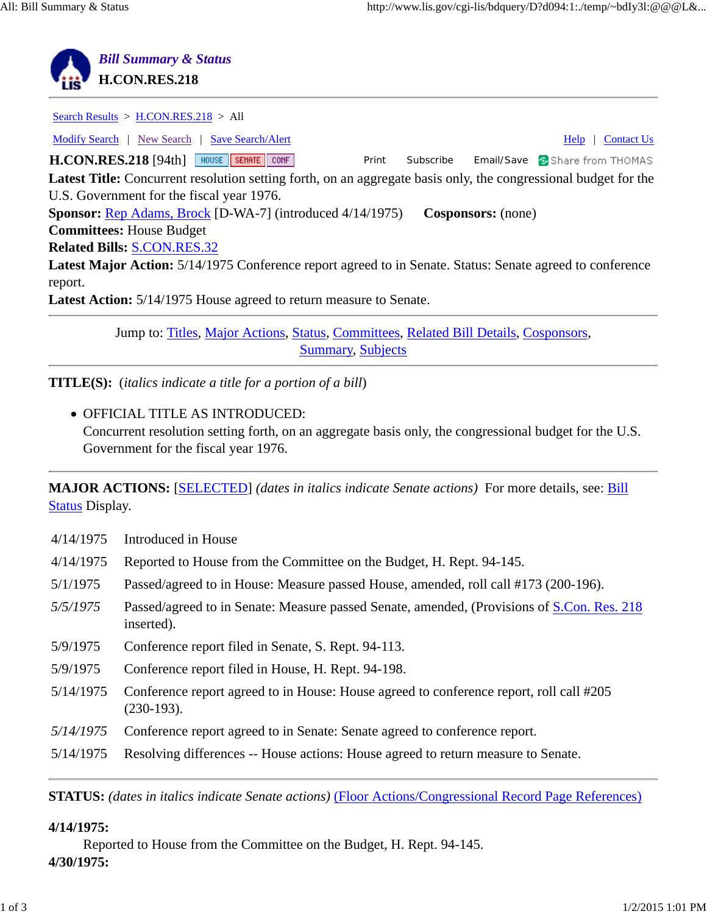

Jump to: Titles, Major Actions, Status, Committees, Related Bill Details, Cosponsors, Summary, Subjects

**TITLE(S):** (*italics indicate a title for a portion of a bill*)

OFFICIAL TITLE AS INTRODUCED: Concurrent resolution setting forth, on an aggregate basis only, the congressional budget for the U.S. Government for the fiscal year 1976.

**MAJOR ACTIONS:** [SELECTED] *(dates in italics indicate Senate actions)* For more details, see: Bill Status Display.

- 4/14/1975 Introduced in House
- 4/14/1975 Reported to House from the Committee on the Budget, H. Rept. 94-145.
- 5/1/1975 Passed/agreed to in House: Measure passed House, amended, roll call #173 (200-196).
- *5/5/1975* Passed/agreed to in Senate: Measure passed Senate, amended, (Provisions of S.Con. Res. 218 inserted).
- 5/9/1975 Conference report filed in Senate, S. Rept. 94-113.
- 5/9/1975 Conference report filed in House, H. Rept. 94-198.
- 5/14/1975 Conference report agreed to in House: House agreed to conference report, roll call #205 (230-193).
- *5/14/1975* Conference report agreed to in Senate: Senate agreed to conference report.
- 5/14/1975 Resolving differences -- House actions: House agreed to return measure to Senate.

**STATUS:** *(dates in italics indicate Senate actions)* (Floor Actions/Congressional Record Page References)

#### **4/14/1975:**

Reported to House from the Committee on the Budget, H. Rept. 94-145. **4/30/1975:**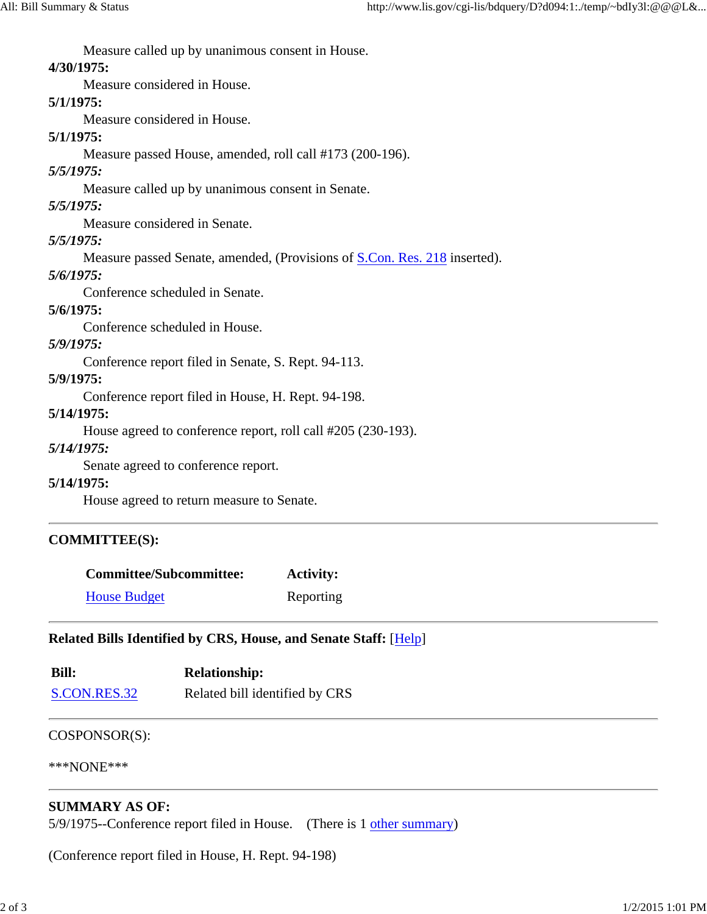Measure called up by unanimous consent in House.

## **4/30/1975:**

Measure considered in House.

### **5/1/1975:**

Measure considered in House.

# **5/1/1975:**

Measure passed House, amended, roll call #173 (200-196).

# *5/5/1975:*

Measure called up by unanimous consent in Senate.

# *5/5/1975:*

Measure considered in Senate.

# *5/5/1975:*

Measure passed Senate, amended, (Provisions of S.Con. Res. 218 inserted).

# *5/6/1975:*

Conference scheduled in Senate.

# **5/6/1975:**

Conference scheduled in House.

# *5/9/1975:*

Conference report filed in Senate, S. Rept. 94-113.

#### **5/9/1975:**

Conference report filed in House, H. Rept. 94-198.

### **5/14/1975:**

House agreed to conference report, roll call #205 (230-193).

### *5/14/1975:*

Senate agreed to conference report.

### **5/14/1975:**

House agreed to return measure to Senate.

# **COMMITTEE(S):**

| <b>Committee/Subcommittee:</b> | <b>Activity:</b> |
|--------------------------------|------------------|
| <b>House Budget</b>            | Reporting        |

# **Related Bills Identified by CRS, House, and Senate Staff:** [Help]

| <b>Bill:</b> | <b>Relationship:</b>           |
|--------------|--------------------------------|
| S.CON.RES.32 | Related bill identified by CRS |

### COSPONSOR(S):

\*\*\*NONE\*\*\*

# **SUMMARY AS OF:**

5/9/1975--Conference report filed in House. (There is 1 other summary)

(Conference report filed in House, H. Rept. 94-198)